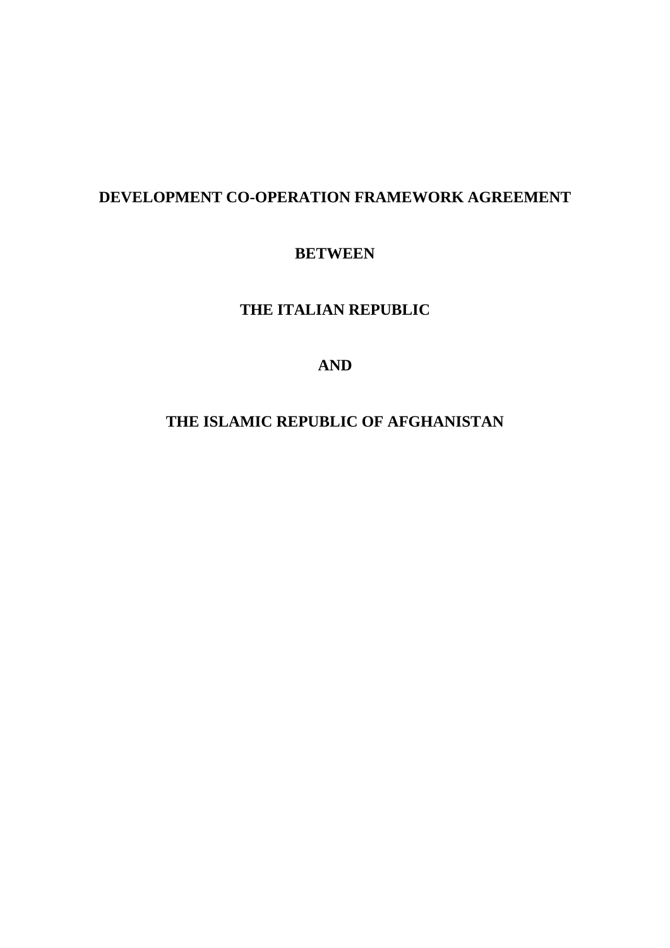# **DEVELOPMENT CO-OPERATION FRAMEWORK AGREEMENT**

# **BETWEEN**

# **THE ITALIAN REPUBLIC**

# **AND**

# **THE ISLAMIC REPUBLIC OF AFGHANISTAN**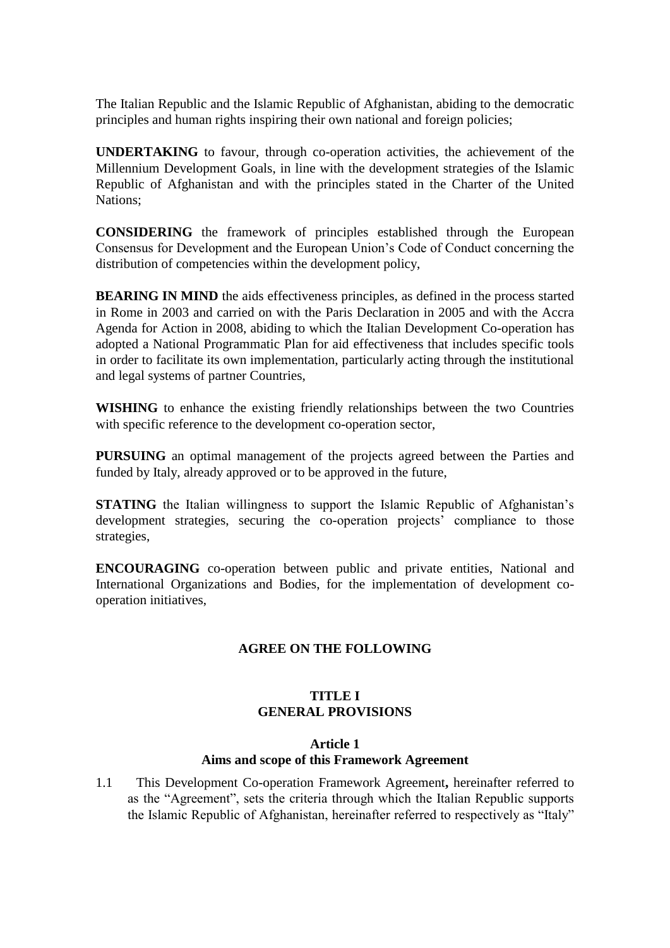The Italian Republic and the Islamic Republic of Afghanistan, abiding to the democratic principles and human rights inspiring their own national and foreign policies;

**UNDERTAKING** to favour, through co-operation activities, the achievement of the Millennium Development Goals, in line with the development strategies of the Islamic Republic of Afghanistan and with the principles stated in the Charter of the United Nations;

**CONSIDERING** the framework of principles established through the European Consensus for Development and the European Union's Code of Conduct concerning the distribution of competencies within the development policy,

**BEARING IN MIND** the aids effectiveness principles, as defined in the process started in Rome in 2003 and carried on with the Paris Declaration in 2005 and with the Accra Agenda for Action in 2008, abiding to which the Italian Development Co-operation has adopted a National Programmatic Plan for aid effectiveness that includes specific tools in order to facilitate its own implementation, particularly acting through the institutional and legal systems of partner Countries,

**WISHING** to enhance the existing friendly relationships between the two Countries with specific reference to the development co-operation sector,

**PURSUING** an optimal management of the projects agreed between the Parties and funded by Italy, already approved or to be approved in the future,

**STATING** the Italian willingness to support the Islamic Republic of Afghanistan's development strategies, securing the co-operation projects' compliance to those strategies,

**ENCOURAGING** co-operation between public and private entities, National and International Organizations and Bodies, for the implementation of development cooperation initiatives,

## **AGREE ON THE FOLLOWING**

## **TITLE I GENERAL PROVISIONS**

#### **Article 1**

## **Aims and scope of this Framework Agreement**

1.1 This Development Co-operation Framework Agreement**,** hereinafter referred to as the "Agreement", sets the criteria through which the Italian Republic supports the Islamic Republic of Afghanistan, hereinafter referred to respectively as "Italy"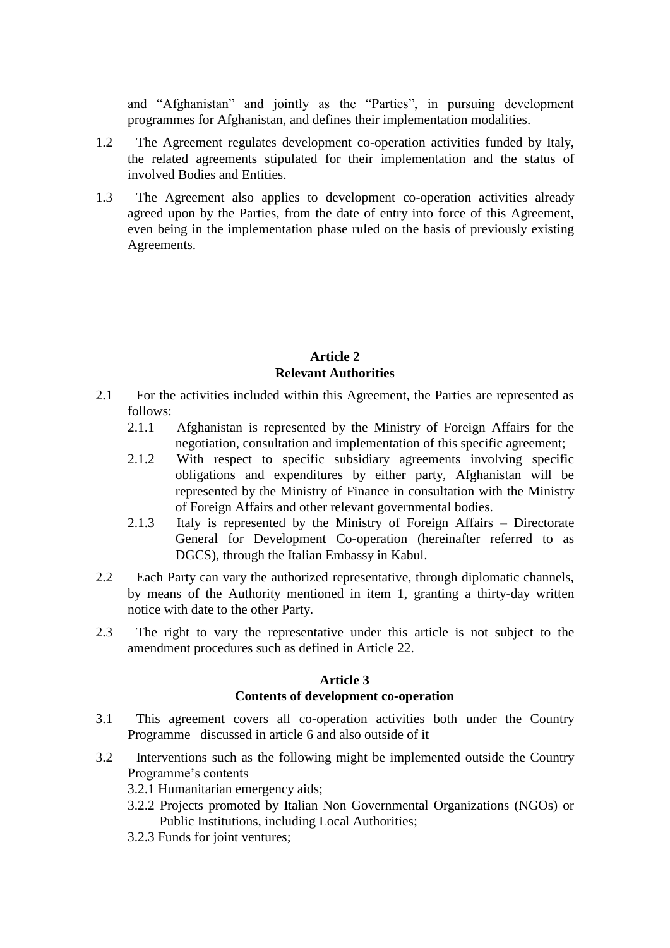and "Afghanistan" and jointly as the "Parties", in pursuing development programmes for Afghanistan, and defines their implementation modalities.

- 1.2 The Agreement regulates development co-operation activities funded by Italy, the related agreements stipulated for their implementation and the status of involved Bodies and Entities.
- 1.3 The Agreement also applies to development co-operation activities already agreed upon by the Parties, from the date of entry into force of this Agreement, even being in the implementation phase ruled on the basis of previously existing Agreements.

### **Article 2 Relevant Authorities**

- 2.1 For the activities included within this Agreement, the Parties are represented as follows:
	- 2.1.1 Afghanistan is represented by the Ministry of Foreign Affairs for the negotiation, consultation and implementation of this specific agreement;
	- 2.1.2 With respect to specific subsidiary agreements involving specific obligations and expenditures by either party, Afghanistan will be represented by the Ministry of Finance in consultation with the Ministry of Foreign Affairs and other relevant governmental bodies.
	- 2.1.3 Italy is represented by the Ministry of Foreign Affairs Directorate General for Development Co-operation (hereinafter referred to as DGCS), through the Italian Embassy in Kabul.
- 2.2 Each Party can vary the authorized representative, through diplomatic channels, by means of the Authority mentioned in item 1, granting a thirty-day written notice with date to the other Party.
- 2.3 The right to vary the representative under this article is not subject to the amendment procedures such as defined in Article 22.

## **Article 3 Contents of development co-operation**

- 3.1 This agreement covers all co-operation activities both under the Country Programme discussed in article 6 and also outside of it
- 3.2 Interventions such as the following might be implemented outside the Country Programme's contents
	- 3.2.1 Humanitarian emergency aids;
	- 3.2.2 Projects promoted by Italian Non Governmental Organizations (NGOs) or Public Institutions, including Local Authorities;
	- 3.2.3 Funds for joint ventures;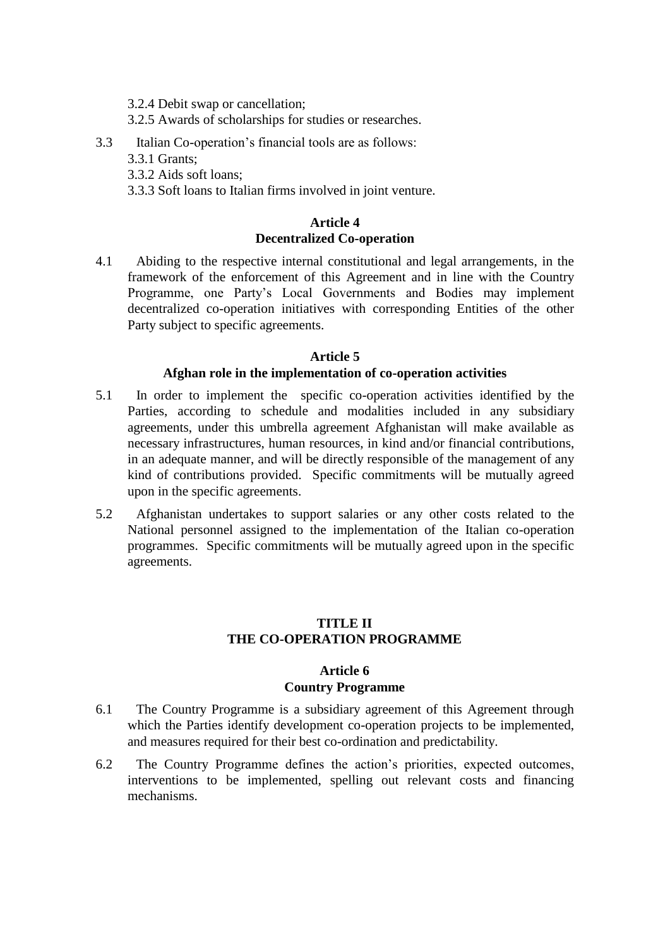- 3.2.4 Debit swap or cancellation;
- 3.2.5 Awards of scholarships for studies or researches.
- 3.3 Italian Co-operation's financial tools are as follows:
	- 3.3.1 Grants;
	- 3.3.2 Aids soft loans;
	- 3.3.3 Soft loans to Italian firms involved in joint venture.

### **Article 4 Decentralized Co-operation**

4.1 Abiding to the respective internal constitutional and legal arrangements, in the framework of the enforcement of this Agreement and in line with the Country Programme, one Party's Local Governments and Bodies may implement decentralized co-operation initiatives with corresponding Entities of the other Party subject to specific agreements.

#### **Article 5 Afghan role in the implementation of co-operation activities**

- 5.1 In order to implement the specific co-operation activities identified by the Parties, according to schedule and modalities included in any subsidiary agreements, under this umbrella agreement Afghanistan will make available as necessary infrastructures, human resources, in kind and/or financial contributions, in an adequate manner, and will be directly responsible of the management of any kind of contributions provided. Specific commitments will be mutually agreed upon in the specific agreements.
- 5.2 Afghanistan undertakes to support salaries or any other costs related to the National personnel assigned to the implementation of the Italian co-operation programmes. Specific commitments will be mutually agreed upon in the specific agreements.

## **TITLE II THE CO-OPERATION PROGRAMME**

## **Article 6 Country Programme**

- 6.1 The Country Programme is a subsidiary agreement of this Agreement through which the Parties identify development co-operation projects to be implemented, and measures required for their best co-ordination and predictability.
- 6.2 The Country Programme defines the action's priorities, expected outcomes, interventions to be implemented, spelling out relevant costs and financing mechanisms.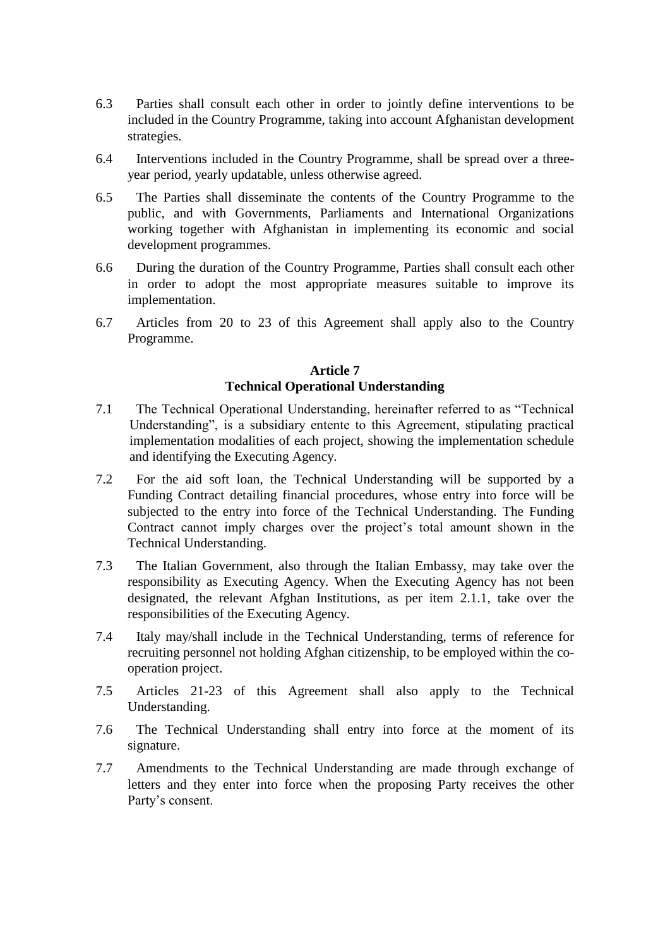- 6.3 Parties shall consult each other in order to jointly define interventions to be included in the Country Programme, taking into account Afghanistan development strategies.
- 6.4 Interventions included in the Country Programme, shall be spread over a threeyear period, yearly updatable, unless otherwise agreed.
- 6.5 The Parties shall disseminate the contents of the Country Programme to the public, and with Governments, Parliaments and International Organizations working together with Afghanistan in implementing its economic and social development programmes.
- 6.6 During the duration of the Country Programme, Parties shall consult each other in order to adopt the most appropriate measures suitable to improve its implementation.
- 6.7 Articles from 20 to 23 of this Agreement shall apply also to the Country Programme.

## **Article 7 Technical Operational Understanding**

- 7.1 The Technical Operational Understanding, hereinafter referred to as "Technical Understanding", is a subsidiary entente to this Agreement, stipulating practical implementation modalities of each project, showing the implementation schedule and identifying the Executing Agency.
- 7.2 For the aid soft loan, the Technical Understanding will be supported by a Funding Contract detailing financial procedures, whose entry into force will be subjected to the entry into force of the Technical Understanding. The Funding Contract cannot imply charges over the project's total amount shown in the Technical Understanding.
- 7.3 The Italian Government, also through the Italian Embassy, may take over the responsibility as Executing Agency. When the Executing Agency has not been designated, the relevant Afghan Institutions, as per item 2.1.1, take over the responsibilities of the Executing Agency.
- 7.4 Italy may/shall include in the Technical Understanding, terms of reference for recruiting personnel not holding Afghan citizenship, to be employed within the cooperation project.
- 7.5 Articles 21-23 of this Agreement shall also apply to the Technical Understanding.
- 7.6 The Technical Understanding shall entry into force at the moment of its signature.
- 7.7 Amendments to the Technical Understanding are made through exchange of letters and they enter into force when the proposing Party receives the other Party's consent.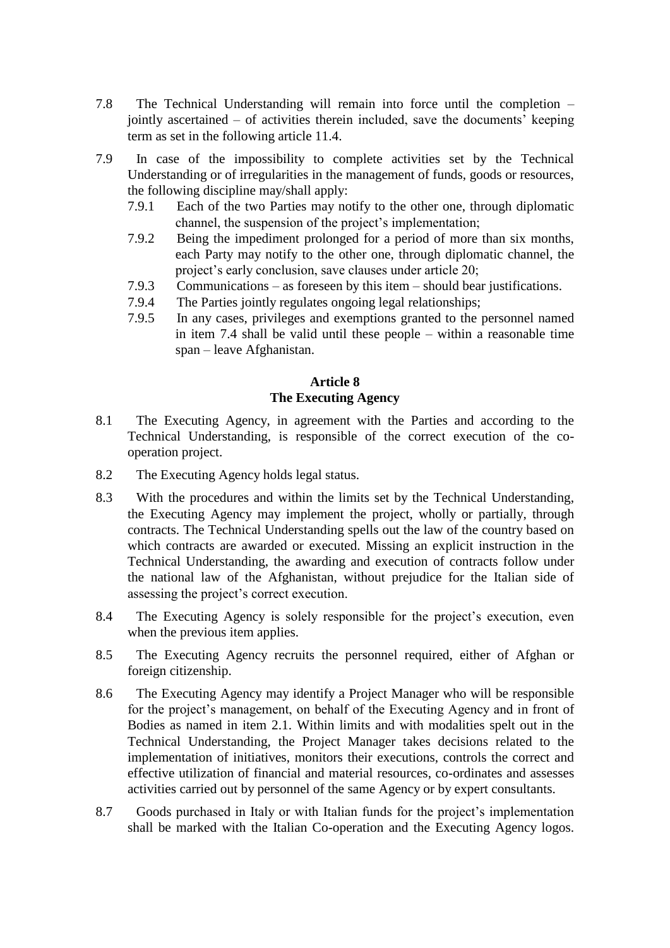- 7.8 The Technical Understanding will remain into force until the completion jointly ascertained – of activities therein included, save the documents' keeping term as set in the following article 11.4.
- 7.9 In case of the impossibility to complete activities set by the Technical Understanding or of irregularities in the management of funds, goods or resources, the following discipline may/shall apply:
	- 7.9.1 Each of the two Parties may notify to the other one, through diplomatic channel, the suspension of the project's implementation;
	- 7.9.2 Being the impediment prolonged for a period of more than six months, each Party may notify to the other one, through diplomatic channel, the project's early conclusion, save clauses under article 20;
	- 7.9.3 Communications as foreseen by this item should bear justifications.
	- 7.9.4 The Parties jointly regulates ongoing legal relationships;
	- 7.9.5 In any cases, privileges and exemptions granted to the personnel named in item 7.4 shall be valid until these people – within a reasonable time span – leave Afghanistan.

## **Article 8**

### **The Executing Agency**

- 8.1 The Executing Agency, in agreement with the Parties and according to the Technical Understanding, is responsible of the correct execution of the cooperation project.
- 8.2 The Executing Agency holds legal status.
- 8.3 With the procedures and within the limits set by the Technical Understanding, the Executing Agency may implement the project, wholly or partially, through contracts. The Technical Understanding spells out the law of the country based on which contracts are awarded or executed. Missing an explicit instruction in the Technical Understanding, the awarding and execution of contracts follow under the national law of the Afghanistan, without prejudice for the Italian side of assessing the project's correct execution.
- 8.4 The Executing Agency is solely responsible for the project's execution, even when the previous item applies.
- 8.5 The Executing Agency recruits the personnel required, either of Afghan or foreign citizenship.
- 8.6 The Executing Agency may identify a Project Manager who will be responsible for the project's management, on behalf of the Executing Agency and in front of Bodies as named in item 2.1. Within limits and with modalities spelt out in the Technical Understanding, the Project Manager takes decisions related to the implementation of initiatives, monitors their executions, controls the correct and effective utilization of financial and material resources, co-ordinates and assesses activities carried out by personnel of the same Agency or by expert consultants.
- 8.7 Goods purchased in Italy or with Italian funds for the project's implementation shall be marked with the Italian Co-operation and the Executing Agency logos.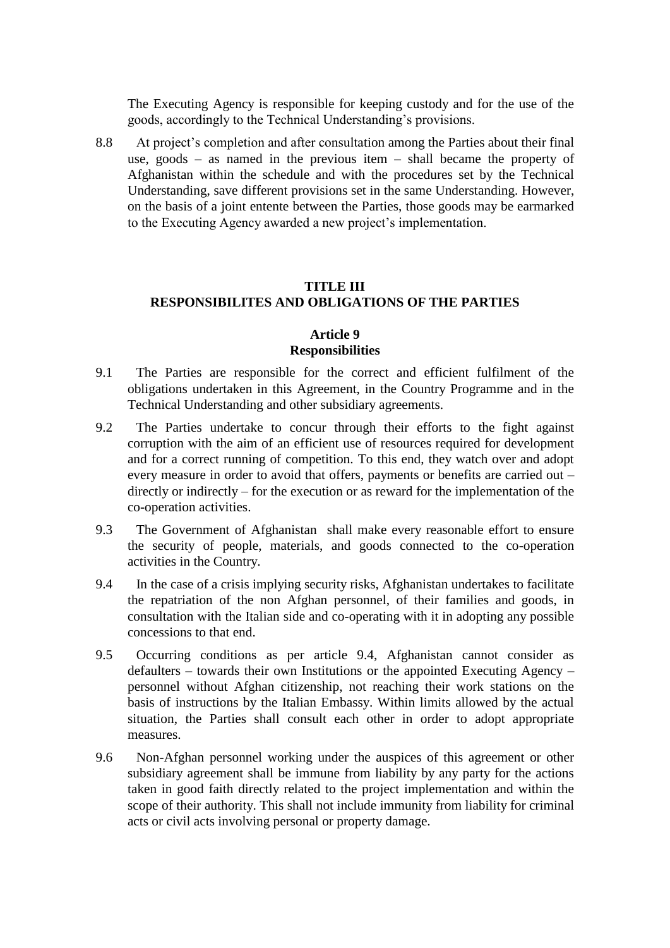The Executing Agency is responsible for keeping custody and for the use of the goods, accordingly to the Technical Understanding's provisions.

8.8 At project's completion and after consultation among the Parties about their final use, goods – as named in the previous item – shall became the property of Afghanistan within the schedule and with the procedures set by the Technical Understanding, save different provisions set in the same Understanding. However, on the basis of a joint entente between the Parties, those goods may be earmarked to the Executing Agency awarded a new project's implementation.

## **TITLE III RESPONSIBILITES AND OBLIGATIONS OF THE PARTIES**

#### **Article 9 Responsibilities**

- 9.1 The Parties are responsible for the correct and efficient fulfilment of the obligations undertaken in this Agreement, in the Country Programme and in the Technical Understanding and other subsidiary agreements.
- 9.2 The Parties undertake to concur through their efforts to the fight against corruption with the aim of an efficient use of resources required for development and for a correct running of competition. To this end, they watch over and adopt every measure in order to avoid that offers, payments or benefits are carried out – directly or indirectly – for the execution or as reward for the implementation of the co-operation activities.
- 9.3 The Government of Afghanistan shall make every reasonable effort to ensure the security of people, materials, and goods connected to the co-operation activities in the Country.
- 9.4 In the case of a crisis implying security risks, Afghanistan undertakes to facilitate the repatriation of the non Afghan personnel, of their families and goods, in consultation with the Italian side and co-operating with it in adopting any possible concessions to that end.
- 9.5 Occurring conditions as per article 9.4, Afghanistan cannot consider as defaulters – towards their own Institutions or the appointed Executing Agency – personnel without Afghan citizenship, not reaching their work stations on the basis of instructions by the Italian Embassy. Within limits allowed by the actual situation, the Parties shall consult each other in order to adopt appropriate measures.
- 9.6 Non-Afghan personnel working under the auspices of this agreement or other subsidiary agreement shall be immune from liability by any party for the actions taken in good faith directly related to the project implementation and within the scope of their authority. This shall not include immunity from liability for criminal acts or civil acts involving personal or property damage.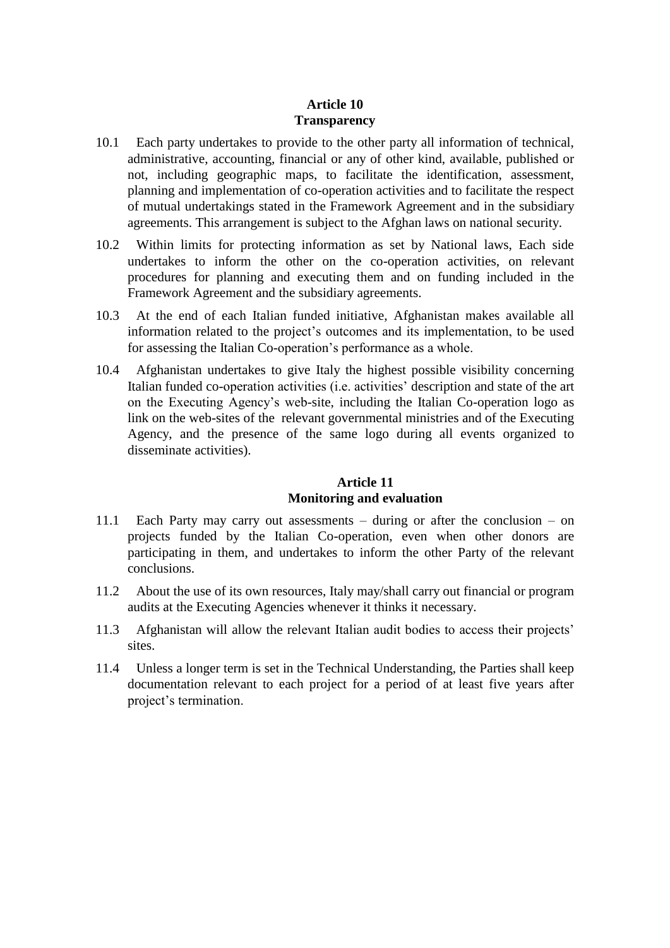## **Article 10 Transparency**

- 10.1 Each party undertakes to provide to the other party all information of technical, administrative, accounting, financial or any of other kind, available, published or not, including geographic maps, to facilitate the identification, assessment, planning and implementation of co-operation activities and to facilitate the respect of mutual undertakings stated in the Framework Agreement and in the subsidiary agreements. This arrangement is subject to the Afghan laws on national security.
- 10.2 Within limits for protecting information as set by National laws, Each side undertakes to inform the other on the co-operation activities, on relevant procedures for planning and executing them and on funding included in the Framework Agreement and the subsidiary agreements.
- 10.3 At the end of each Italian funded initiative, Afghanistan makes available all information related to the project's outcomes and its implementation, to be used for assessing the Italian Co-operation's performance as a whole.
- 10.4 Afghanistan undertakes to give Italy the highest possible visibility concerning Italian funded co-operation activities (i.e. activities' description and state of the art on the Executing Agency's web-site, including the Italian Co-operation logo as link on the web-sites of the relevant governmental ministries and of the Executing Agency, and the presence of the same logo during all events organized to disseminate activities).

## **Article 11 Monitoring and evaluation**

- 11.1 Each Party may carry out assessments during or after the conclusion on projects funded by the Italian Co-operation, even when other donors are participating in them, and undertakes to inform the other Party of the relevant conclusions.
- 11.2 About the use of its own resources, Italy may/shall carry out financial or program audits at the Executing Agencies whenever it thinks it necessary.
- 11.3 Afghanistan will allow the relevant Italian audit bodies to access their projects' sites.
- 11.4 Unless a longer term is set in the Technical Understanding, the Parties shall keep documentation relevant to each project for a period of at least five years after project's termination.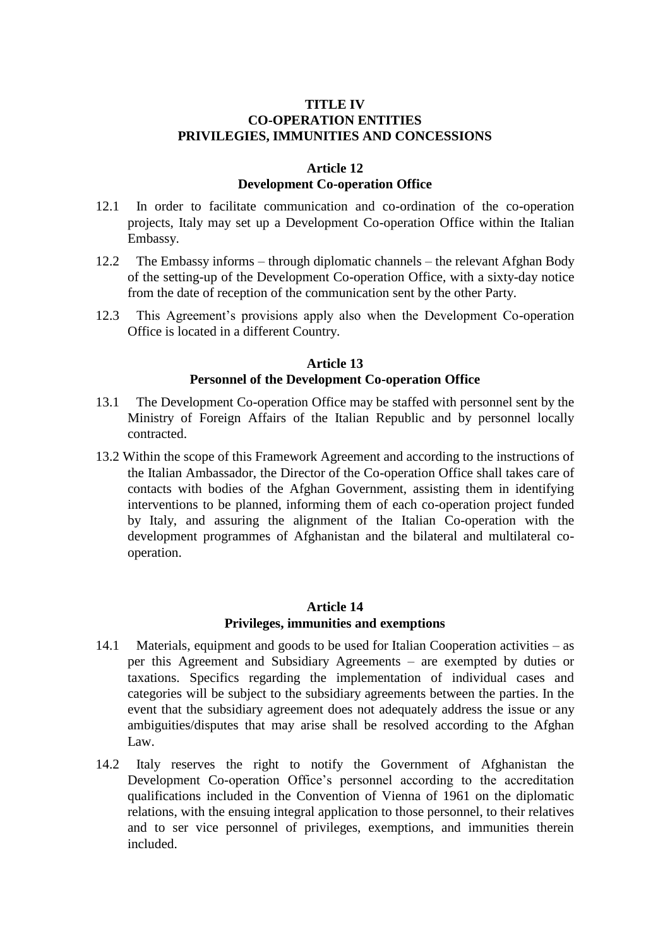### **TITLE IV CO-OPERATION ENTITIES PRIVILEGIES, IMMUNITIES AND CONCESSIONS**

#### **Article 12 Development Co-operation Office**

- 12.1 In order to facilitate communication and co-ordination of the co-operation projects, Italy may set up a Development Co-operation Office within the Italian Embassy.
- 12.2 The Embassy informs through diplomatic channels the relevant Afghan Body of the setting-up of the Development Co-operation Office, with a sixty-day notice from the date of reception of the communication sent by the other Party.
- 12.3 This Agreement's provisions apply also when the Development Co-operation Office is located in a different Country.

### **Article 13 Personnel of the Development Co-operation Office**

- 13.1 The Development Co-operation Office may be staffed with personnel sent by the Ministry of Foreign Affairs of the Italian Republic and by personnel locally contracted.
- 13.2 Within the scope of this Framework Agreement and according to the instructions of the Italian Ambassador, the Director of the Co-operation Office shall takes care of contacts with bodies of the Afghan Government, assisting them in identifying interventions to be planned, informing them of each co-operation project funded by Italy, and assuring the alignment of the Italian Co-operation with the development programmes of Afghanistan and the bilateral and multilateral cooperation.

## **Article 14 Privileges, immunities and exemptions**

- 14.1 Materials, equipment and goods to be used for Italian Cooperation activities as per this Agreement and Subsidiary Agreements – are exempted by duties or taxations. Specifics regarding the implementation of individual cases and categories will be subject to the subsidiary agreements between the parties. In the event that the subsidiary agreement does not adequately address the issue or any ambiguities/disputes that may arise shall be resolved according to the Afghan Law.
- 14.2 Italy reserves the right to notify the Government of Afghanistan the Development Co-operation Office's personnel according to the accreditation qualifications included in the Convention of Vienna of 1961 on the diplomatic relations, with the ensuing integral application to those personnel, to their relatives and to ser vice personnel of privileges, exemptions, and immunities therein included.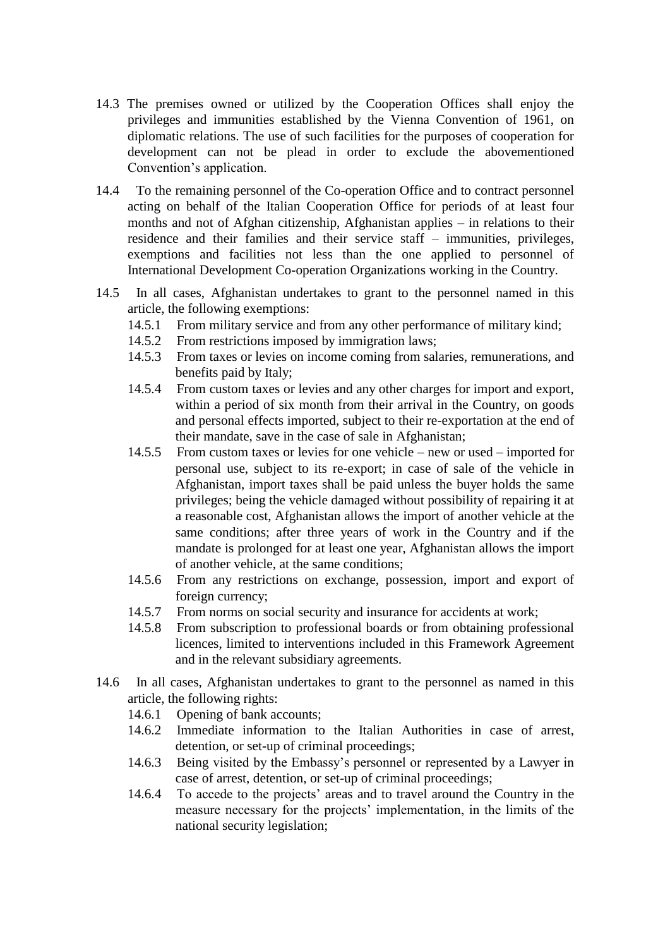- 14.3 The premises owned or utilized by the Cooperation Offices shall enjoy the privileges and immunities established by the Vienna Convention of 1961, on diplomatic relations. The use of such facilities for the purposes of cooperation for development can not be plead in order to exclude the abovementioned Convention's application.
- 14.4 To the remaining personnel of the Co-operation Office and to contract personnel acting on behalf of the Italian Cooperation Office for periods of at least four months and not of Afghan citizenship, Afghanistan applies – in relations to their residence and their families and their service staff – immunities, privileges, exemptions and facilities not less than the one applied to personnel of International Development Co-operation Organizations working in the Country.
- 14.5 In all cases, Afghanistan undertakes to grant to the personnel named in this article, the following exemptions:
	- 14.5.1 From military service and from any other performance of military kind;
	- 14.5.2 From restrictions imposed by immigration laws;
	- 14.5.3 From taxes or levies on income coming from salaries, remunerations, and benefits paid by Italy;
	- 14.5.4 From custom taxes or levies and any other charges for import and export, within a period of six month from their arrival in the Country, on goods and personal effects imported, subject to their re-exportation at the end of their mandate, save in the case of sale in Afghanistan;
	- 14.5.5 From custom taxes or levies for one vehicle new or used imported for personal use, subject to its re-export; in case of sale of the vehicle in Afghanistan, import taxes shall be paid unless the buyer holds the same privileges; being the vehicle damaged without possibility of repairing it at a reasonable cost, Afghanistan allows the import of another vehicle at the same conditions; after three years of work in the Country and if the mandate is prolonged for at least one year, Afghanistan allows the import of another vehicle, at the same conditions;
	- 14.5.6 From any restrictions on exchange, possession, import and export of foreign currency;
	- 14.5.7 From norms on social security and insurance for accidents at work;
	- 14.5.8 From subscription to professional boards or from obtaining professional licences, limited to interventions included in this Framework Agreement and in the relevant subsidiary agreements.
- 14.6 In all cases, Afghanistan undertakes to grant to the personnel as named in this article, the following rights:
	- 14.6.1 Opening of bank accounts;
	- 14.6.2 Immediate information to the Italian Authorities in case of arrest, detention, or set-up of criminal proceedings;
	- 14.6.3 Being visited by the Embassy's personnel or represented by a Lawyer in case of arrest, detention, or set-up of criminal proceedings;
	- 14.6.4 To accede to the projects' areas and to travel around the Country in the measure necessary for the projects' implementation, in the limits of the national security legislation;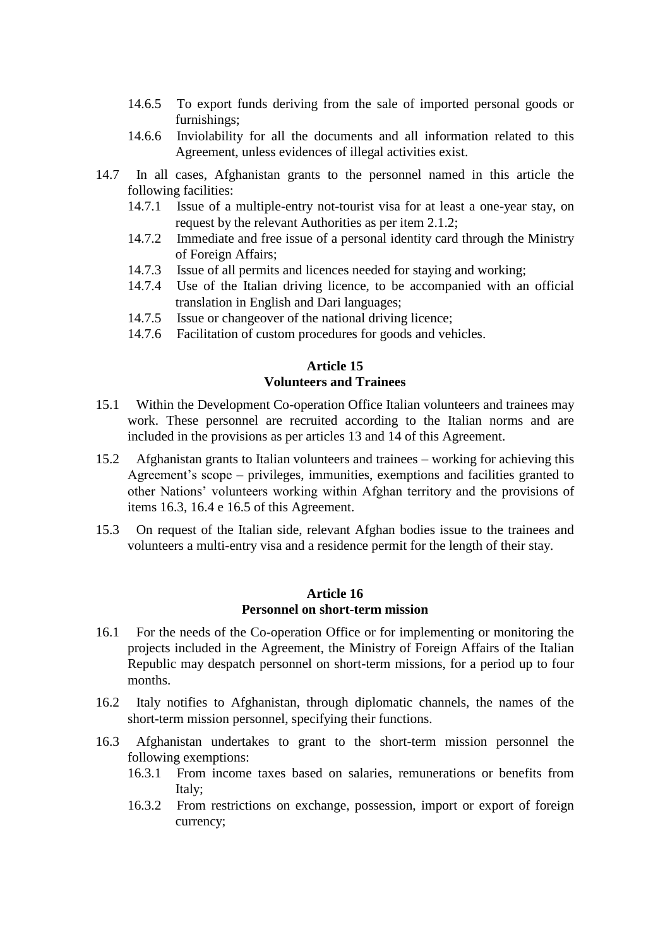- 14.6.5 To export funds deriving from the sale of imported personal goods or furnishings;
- 14.6.6 Inviolability for all the documents and all information related to this Agreement, unless evidences of illegal activities exist.
- 14.7 In all cases, Afghanistan grants to the personnel named in this article the following facilities:
	- 14.7.1 Issue of a multiple-entry not-tourist visa for at least a one-year stay, on request by the relevant Authorities as per item 2.1.2;
	- 14.7.2 Immediate and free issue of a personal identity card through the Ministry of Foreign Affairs;
	- 14.7.3 Issue of all permits and licences needed for staying and working;
	- 14.7.4 Use of the Italian driving licence, to be accompanied with an official translation in English and Dari languages;
	- 14.7.5 Issue or changeover of the national driving licence;
	- 14.7.6 Facilitation of custom procedures for goods and vehicles.

#### **Article 15 Volunteers and Trainees**

- 15.1 Within the Development Co-operation Office Italian volunteers and trainees may work. These personnel are recruited according to the Italian norms and are included in the provisions as per articles 13 and 14 of this Agreement.
- 15.2 Afghanistan grants to Italian volunteers and trainees working for achieving this Agreement's scope – privileges, immunities, exemptions and facilities granted to other Nations' volunteers working within Afghan territory and the provisions of items 16.3, 16.4 e 16.5 of this Agreement.
- 15.3 On request of the Italian side, relevant Afghan bodies issue to the trainees and volunteers a multi-entry visa and a residence permit for the length of their stay.

#### **Article 16 Personnel on short-term mission**

- 16.1 For the needs of the Co-operation Office or for implementing or monitoring the projects included in the Agreement, the Ministry of Foreign Affairs of the Italian Republic may despatch personnel on short-term missions, for a period up to four months.
- 16.2 Italy notifies to Afghanistan, through diplomatic channels, the names of the short-term mission personnel, specifying their functions.
- 16.3 Afghanistan undertakes to grant to the short-term mission personnel the following exemptions:
	- 16.3.1 From income taxes based on salaries, remunerations or benefits from Italy;
	- 16.3.2 From restrictions on exchange, possession, import or export of foreign currency;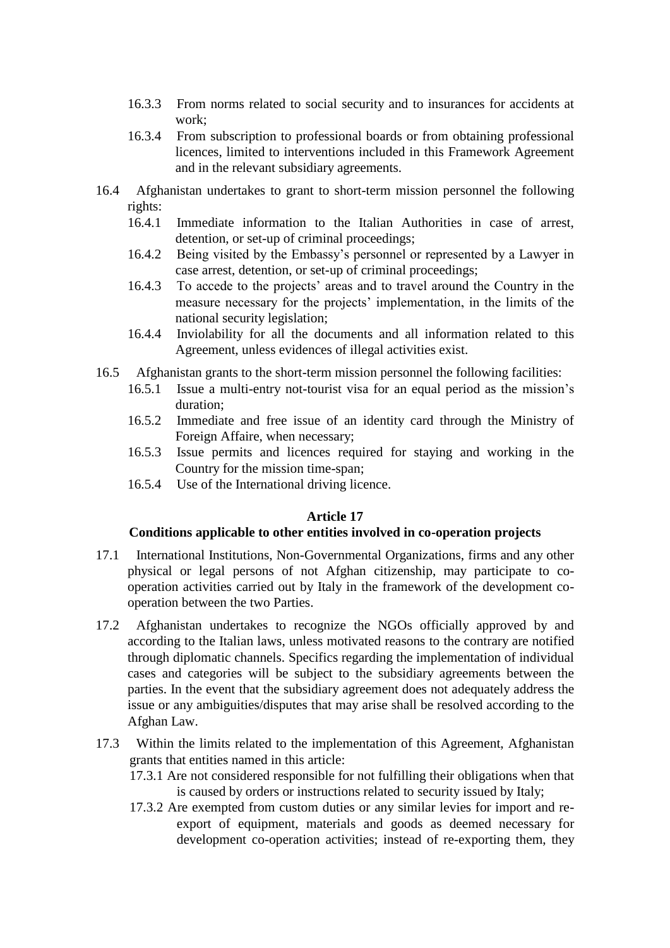- 16.3.3 From norms related to social security and to insurances for accidents at work;
- 16.3.4 From subscription to professional boards or from obtaining professional licences, limited to interventions included in this Framework Agreement and in the relevant subsidiary agreements.
- 16.4 Afghanistan undertakes to grant to short-term mission personnel the following rights:
	- 16.4.1 Immediate information to the Italian Authorities in case of arrest, detention, or set-up of criminal proceedings;
	- 16.4.2 Being visited by the Embassy's personnel or represented by a Lawyer in case arrest, detention, or set-up of criminal proceedings;
	- 16.4.3 To accede to the projects' areas and to travel around the Country in the measure necessary for the projects' implementation, in the limits of the national security legislation;
	- 16.4.4 Inviolability for all the documents and all information related to this Agreement, unless evidences of illegal activities exist.
- 16.5 Afghanistan grants to the short-term mission personnel the following facilities:
	- 16.5.1 Issue a multi-entry not-tourist visa for an equal period as the mission's duration;
	- 16.5.2 Immediate and free issue of an identity card through the Ministry of Foreign Affaire, when necessary;
	- 16.5.3 Issue permits and licences required for staying and working in the Country for the mission time-span;
	- 16.5.4 Use of the International driving licence.

## **Article 17**

#### **Conditions applicable to other entities involved in co-operation projects**

- 17.1 International Institutions, Non-Governmental Organizations, firms and any other physical or legal persons of not Afghan citizenship, may participate to cooperation activities carried out by Italy in the framework of the development cooperation between the two Parties.
- 17.2 Afghanistan undertakes to recognize the NGOs officially approved by and according to the Italian laws, unless motivated reasons to the contrary are notified through diplomatic channels. Specifics regarding the implementation of individual cases and categories will be subject to the subsidiary agreements between the parties. In the event that the subsidiary agreement does not adequately address the issue or any ambiguities/disputes that may arise shall be resolved according to the Afghan Law.
- 17.3 Within the limits related to the implementation of this Agreement, Afghanistan grants that entities named in this article:
	- 17.3.1 Are not considered responsible for not fulfilling their obligations when that is caused by orders or instructions related to security issued by Italy;
	- 17.3.2 Are exempted from custom duties or any similar levies for import and reexport of equipment, materials and goods as deemed necessary for development co-operation activities; instead of re-exporting them, they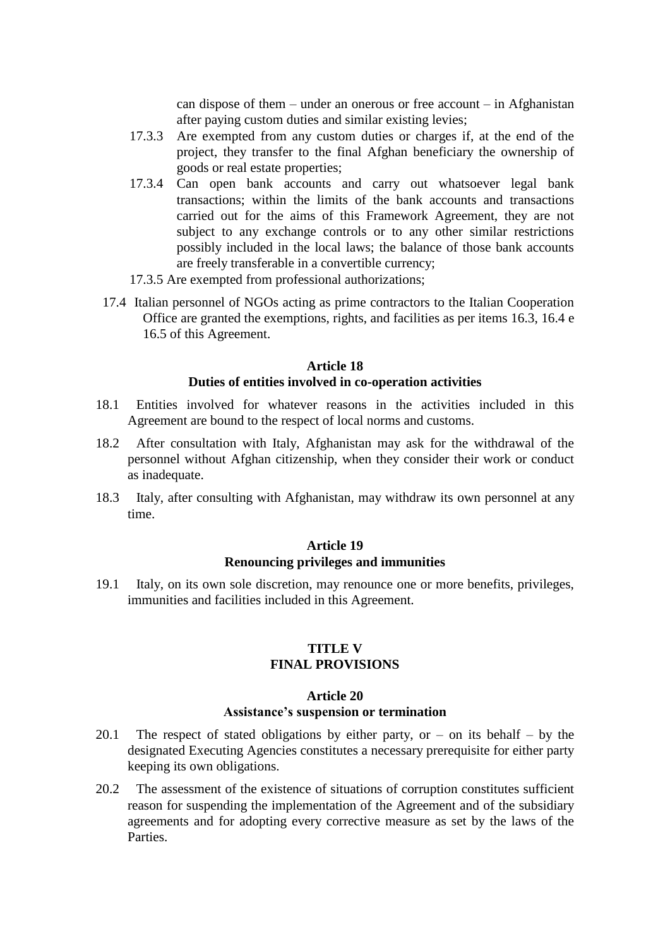can dispose of them – under an onerous or free account – in Afghanistan after paying custom duties and similar existing levies;

- 17.3.3 Are exempted from any custom duties or charges if, at the end of the project, they transfer to the final Afghan beneficiary the ownership of goods or real estate properties;
- 17.3.4 Can open bank accounts and carry out whatsoever legal bank transactions; within the limits of the bank accounts and transactions carried out for the aims of this Framework Agreement, they are not subject to any exchange controls or to any other similar restrictions possibly included in the local laws; the balance of those bank accounts are freely transferable in a convertible currency;
- 17.3.5 Are exempted from professional authorizations;
- 17.4 Italian personnel of NGOs acting as prime contractors to the Italian Cooperation Office are granted the exemptions, rights, and facilities as per items 16.3, 16.4 e 16.5 of this Agreement.

#### **Article 18 Duties of entities involved in co-operation activities**

- 18.1 Entities involved for whatever reasons in the activities included in this Agreement are bound to the respect of local norms and customs.
- 18.2 After consultation with Italy, Afghanistan may ask for the withdrawal of the personnel without Afghan citizenship, when they consider their work or conduct as inadequate.
- 18.3 Italy, after consulting with Afghanistan, may withdraw its own personnel at any time.

#### **Article 19 Renouncing privileges and immunities**

19.1 Italy, on its own sole discretion, may renounce one or more benefits, privileges, immunities and facilities included in this Agreement.

#### **TITLE V FINAL PROVISIONS**

#### **Article 20 Assistance's suspension or termination**

- 20.1 The respect of stated obligations by either party, or  $-$  on its behalf  $-$  by the designated Executing Agencies constitutes a necessary prerequisite for either party keeping its own obligations.
- 20.2 The assessment of the existence of situations of corruption constitutes sufficient reason for suspending the implementation of the Agreement and of the subsidiary agreements and for adopting every corrective measure as set by the laws of the Parties.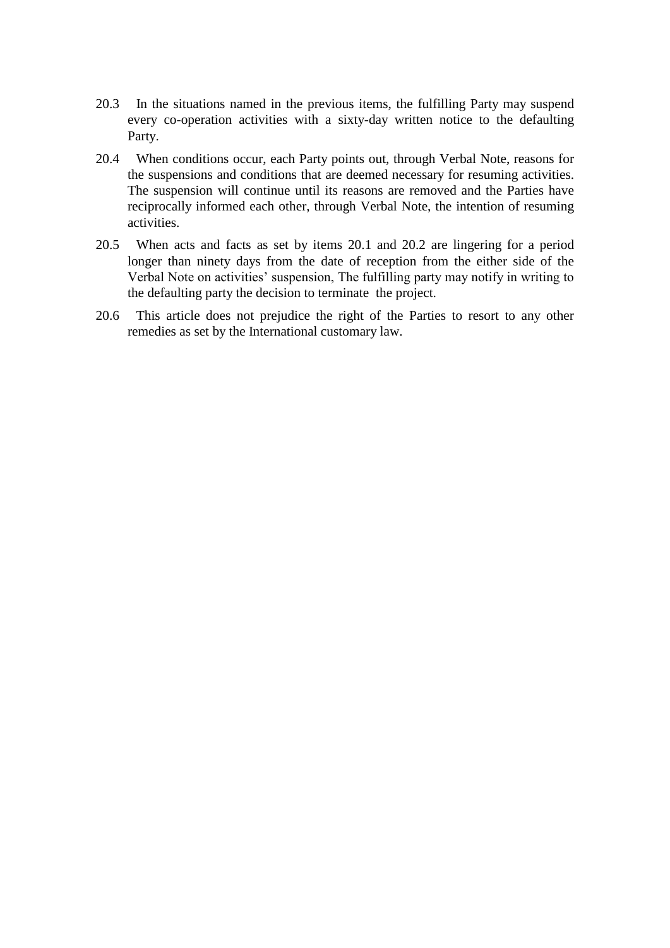- 20.3 In the situations named in the previous items, the fulfilling Party may suspend every co-operation activities with a sixty-day written notice to the defaulting Party.
- 20.4 When conditions occur, each Party points out, through Verbal Note, reasons for the suspensions and conditions that are deemed necessary for resuming activities. The suspension will continue until its reasons are removed and the Parties have reciprocally informed each other, through Verbal Note, the intention of resuming activities.
- 20.5 When acts and facts as set by items 20.1 and 20.2 are lingering for a period longer than ninety days from the date of reception from the either side of the Verbal Note on activities' suspension, The fulfilling party may notify in writing to the defaulting party the decision to terminate the project.
- 20.6 This article does not prejudice the right of the Parties to resort to any other remedies as set by the International customary law.